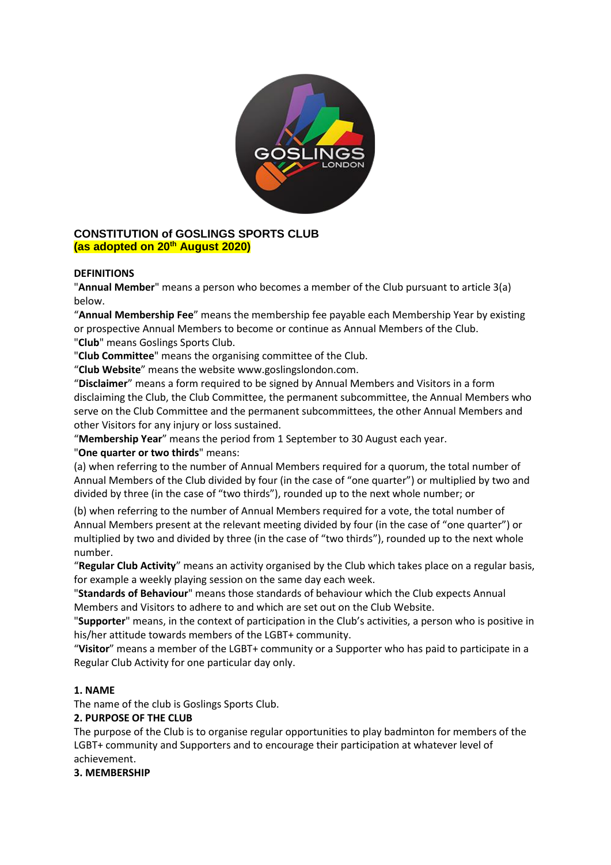

## **CONSTITUTION of GOSLINGS SPORTS CLUB (as adopted on 20th August 2020)**

## **DEFINITIONS**

"**Annual Member**" means a person who becomes a member of the Club pursuant to article 3(a) below.

"**Annual Membership Fee**" means the membership fee payable each Membership Year by existing or prospective Annual Members to become or continue as Annual Members of the Club. "**Club**" means Goslings Sports Club.

"**Club Committee**" means the organising committee of the Club.

"**Club Website**" means the website www.goslingslondon.com.

"**Disclaimer**" means a form required to be signed by Annual Members and Visitors in a form disclaiming the Club, the Club Committee, the permanent subcommittee, the Annual Members who serve on the Club Committee and the permanent subcommittees, the other Annual Members and other Visitors for any injury or loss sustained.

"**Membership Year**" means the period from 1 September to 30 August each year.

"**One quarter or two thirds**" means:

(a) when referring to the number of Annual Members required for a quorum, the total number of Annual Members of the Club divided by four (in the case of "one quarter") or multiplied by two and divided by three (in the case of "two thirds"), rounded up to the next whole number; or

(b) when referring to the number of Annual Members required for a vote, the total number of Annual Members present at the relevant meeting divided by four (in the case of "one quarter") or multiplied by two and divided by three (in the case of "two thirds"), rounded up to the next whole number.

"**Regular Club Activity**" means an activity organised by the Club which takes place on a regular basis, for example a weekly playing session on the same day each week.

"**Standards of Behaviour**" means those standards of behaviour which the Club expects Annual Members and Visitors to adhere to and which are set out on the Club Website.

"**Supporter**" means, in the context of participation in the Club's activities, a person who is positive in his/her attitude towards members of the LGBT+ community.

"**Visitor**" means a member of the LGBT+ community or a Supporter who has paid to participate in a Regular Club Activity for one particular day only.

#### **1. NAME**

The name of the club is Goslings Sports Club.

#### **2. PURPOSE OF THE CLUB**

The purpose of the Club is to organise regular opportunities to play badminton for members of the LGBT+ community and Supporters and to encourage their participation at whatever level of achievement.

#### **3. MEMBERSHIP**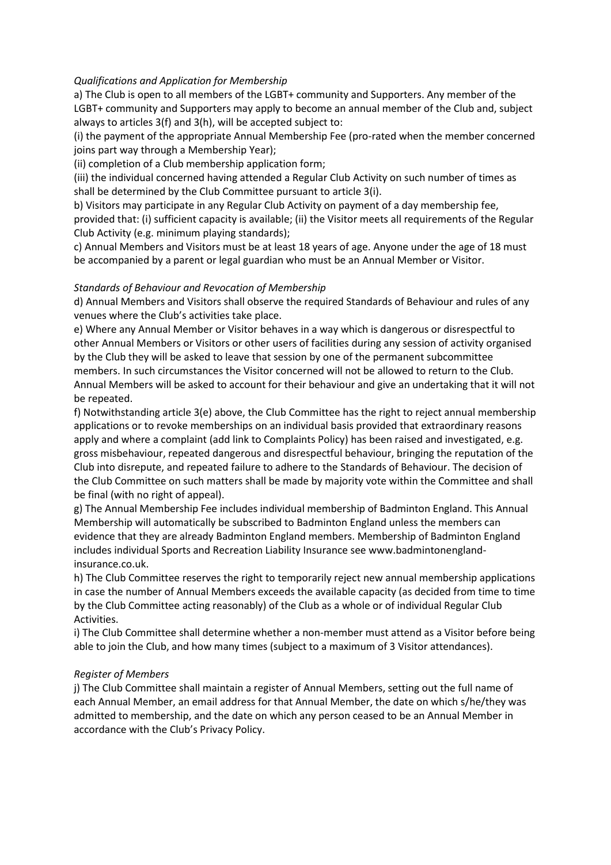### *Qualifications and Application for Membership*

a) The Club is open to all members of the LGBT+ community and Supporters. Any member of the LGBT+ community and Supporters may apply to become an annual member of the Club and, subject always to articles 3(f) and 3(h), will be accepted subject to:

(i) the payment of the appropriate Annual Membership Fee (pro-rated when the member concerned joins part way through a Membership Year);

(ii) completion of a Club membership application form;

(iii) the individual concerned having attended a Regular Club Activity on such number of times as shall be determined by the Club Committee pursuant to article 3(i).

b) Visitors may participate in any Regular Club Activity on payment of a day membership fee, provided that: (i) sufficient capacity is available; (ii) the Visitor meets all requirements of the Regular Club Activity (e.g. minimum playing standards);

c) Annual Members and Visitors must be at least 18 years of age. Anyone under the age of 18 must be accompanied by a parent or legal guardian who must be an Annual Member or Visitor.

### *Standards of Behaviour and Revocation of Membership*

d) Annual Members and Visitors shall observe the required Standards of Behaviour and rules of any venues where the Club's activities take place.

e) Where any Annual Member or Visitor behaves in a way which is dangerous or disrespectful to other Annual Members or Visitors or other users of facilities during any session of activity organised by the Club they will be asked to leave that session by one of the permanent subcommittee members. In such circumstances the Visitor concerned will not be allowed to return to the Club. Annual Members will be asked to account for their behaviour and give an undertaking that it will not be repeated.

f) Notwithstanding article 3(e) above, the Club Committee has the right to reject annual membership applications or to revoke memberships on an individual basis provided that extraordinary reasons apply and where a complaint (add link to Complaints Policy) has been raised and investigated, e.g. gross misbehaviour, repeated dangerous and disrespectful behaviour, bringing the reputation of the Club into disrepute, and repeated failure to adhere to the Standards of Behaviour. The decision of the Club Committee on such matters shall be made by majority vote within the Committee and shall be final (with no right of appeal).

g) The Annual Membership Fee includes individual membership of Badminton England. This Annual Membership will automatically be subscribed to Badminton England unless the members can evidence that they are already Badminton England members. Membership of Badminton England includes individual Sports and Recreation Liability Insurance see www.badmintonenglandinsurance.co.uk.

h) The Club Committee reserves the right to temporarily reject new annual membership applications in case the number of Annual Members exceeds the available capacity (as decided from time to time by the Club Committee acting reasonably) of the Club as a whole or of individual Regular Club Activities.

i) The Club Committee shall determine whether a non-member must attend as a Visitor before being able to join the Club, and how many times (subject to a maximum of 3 Visitor attendances).

#### *Register of Members*

j) The Club Committee shall maintain a register of Annual Members, setting out the full name of each Annual Member, an email address for that Annual Member, the date on which s/he/they was admitted to membership, and the date on which any person ceased to be an Annual Member in accordance with the Club's Privacy Policy.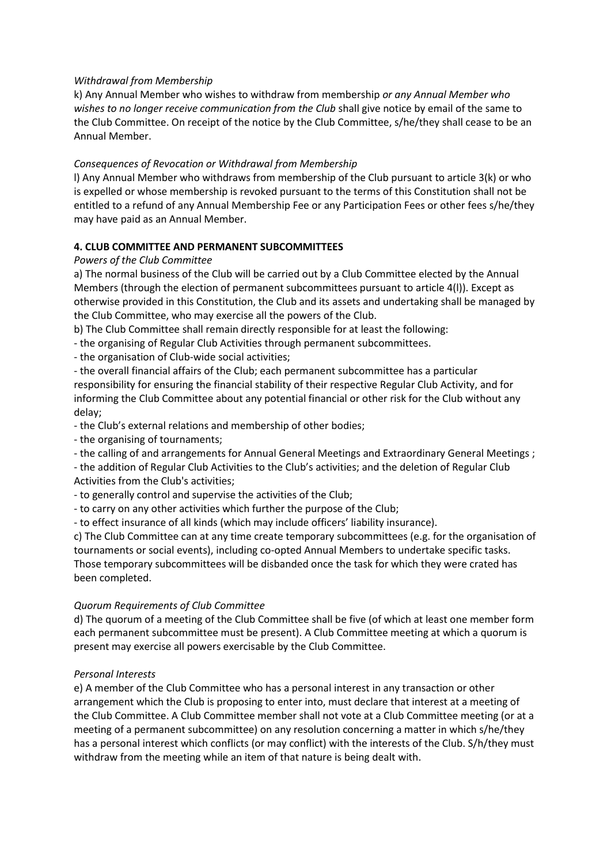### *Withdrawal from Membership*

k) Any Annual Member who wishes to withdraw from membership *or any Annual Member who*  wishes to no longer receive communication from the Club shall give notice by email of the same to the Club Committee. On receipt of the notice by the Club Committee, s/he/they shall cease to be an Annual Member.

### *Consequences of Revocation or Withdrawal from Membership*

l) Any Annual Member who withdraws from membership of the Club pursuant to article 3(k) or who is expelled or whose membership is revoked pursuant to the terms of this Constitution shall not be entitled to a refund of any Annual Membership Fee or any Participation Fees or other fees s/he/they may have paid as an Annual Member.

### **4. CLUB COMMITTEE AND PERMANENT SUBCOMMITTEES**

#### *Powers of the Club Committee*

a) The normal business of the Club will be carried out by a Club Committee elected by the Annual Members (through the election of permanent subcommittees pursuant to article 4(l)). Except as otherwise provided in this Constitution, the Club and its assets and undertaking shall be managed by the Club Committee, who may exercise all the powers of the Club.

b) The Club Committee shall remain directly responsible for at least the following:

- the organising of Regular Club Activities through permanent subcommittees.

- the organisation of Club-wide social activities;

- the overall financial affairs of the Club; each permanent subcommittee has a particular responsibility for ensuring the financial stability of their respective Regular Club Activity, and for informing the Club Committee about any potential financial or other risk for the Club without any delay;

- the Club's external relations and membership of other bodies;

- the organising of tournaments;

- the calling of and arrangements for Annual General Meetings and Extraordinary General Meetings ;

- the addition of Regular Club Activities to the Club's activities; and the deletion of Regular Club Activities from the Club's activities;

- to generally control and supervise the activities of the Club;

- to carry on any other activities which further the purpose of the Club;

- to effect insurance of all kinds (which may include officers' liability insurance).

c) The Club Committee can at any time create temporary subcommittees (e.g. for the organisation of tournaments or social events), including co-opted Annual Members to undertake specific tasks. Those temporary subcommittees will be disbanded once the task for which they were crated has been completed.

#### *Quorum Requirements of Club Committee*

d) The quorum of a meeting of the Club Committee shall be five (of which at least one member form each permanent subcommittee must be present). A Club Committee meeting at which a quorum is present may exercise all powers exercisable by the Club Committee.

#### *Personal Interests*

e) A member of the Club Committee who has a personal interest in any transaction or other arrangement which the Club is proposing to enter into, must declare that interest at a meeting of the Club Committee. A Club Committee member shall not vote at a Club Committee meeting (or at a meeting of a permanent subcommittee) on any resolution concerning a matter in which s/he/they has a personal interest which conflicts (or may conflict) with the interests of the Club. S/h/they must withdraw from the meeting while an item of that nature is being dealt with.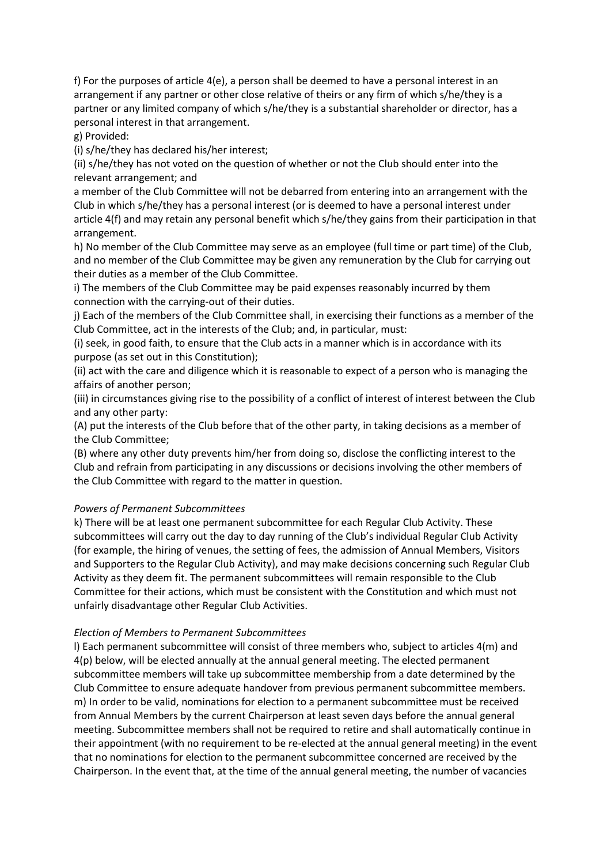f) For the purposes of article 4(e), a person shall be deemed to have a personal interest in an arrangement if any partner or other close relative of theirs or any firm of which s/he/they is a partner or any limited company of which s/he/they is a substantial shareholder or director, has a personal interest in that arrangement.

g) Provided:

(i) s/he/they has declared his/her interest;

(ii) s/he/they has not voted on the question of whether or not the Club should enter into the relevant arrangement; and

a member of the Club Committee will not be debarred from entering into an arrangement with the Club in which s/he/they has a personal interest (or is deemed to have a personal interest under article 4(f) and may retain any personal benefit which s/he/they gains from their participation in that arrangement.

h) No member of the Club Committee may serve as an employee (full time or part time) of the Club, and no member of the Club Committee may be given any remuneration by the Club for carrying out their duties as a member of the Club Committee.

i) The members of the Club Committee may be paid expenses reasonably incurred by them connection with the carrying-out of their duties.

j) Each of the members of the Club Committee shall, in exercising their functions as a member of the Club Committee, act in the interests of the Club; and, in particular, must:

(i) seek, in good faith, to ensure that the Club acts in a manner which is in accordance with its purpose (as set out in this Constitution);

(ii) act with the care and diligence which it is reasonable to expect of a person who is managing the affairs of another person;

(iii) in circumstances giving rise to the possibility of a conflict of interest of interest between the Club and any other party:

(A) put the interests of the Club before that of the other party, in taking decisions as a member of the Club Committee;

(B) where any other duty prevents him/her from doing so, disclose the conflicting interest to the Club and refrain from participating in any discussions or decisions involving the other members of the Club Committee with regard to the matter in question.

#### *Powers of Permanent Subcommittees*

k) There will be at least one permanent subcommittee for each Regular Club Activity. These subcommittees will carry out the day to day running of the Club's individual Regular Club Activity (for example, the hiring of venues, the setting of fees, the admission of Annual Members, Visitors and Supporters to the Regular Club Activity), and may make decisions concerning such Regular Club Activity as they deem fit. The permanent subcommittees will remain responsible to the Club Committee for their actions, which must be consistent with the Constitution and which must not unfairly disadvantage other Regular Club Activities.

#### *Election of Members to Permanent Subcommittees*

l) Each permanent subcommittee will consist of three members who, subject to articles 4(m) and 4(p) below, will be elected annually at the annual general meeting. The elected permanent subcommittee members will take up subcommittee membership from a date determined by the Club Committee to ensure adequate handover from previous permanent subcommittee members. m) In order to be valid, nominations for election to a permanent subcommittee must be received from Annual Members by the current Chairperson at least seven days before the annual general meeting. Subcommittee members shall not be required to retire and shall automatically continue in their appointment (with no requirement to be re-elected at the annual general meeting) in the event that no nominations for election to the permanent subcommittee concerned are received by the Chairperson. In the event that, at the time of the annual general meeting, the number of vacancies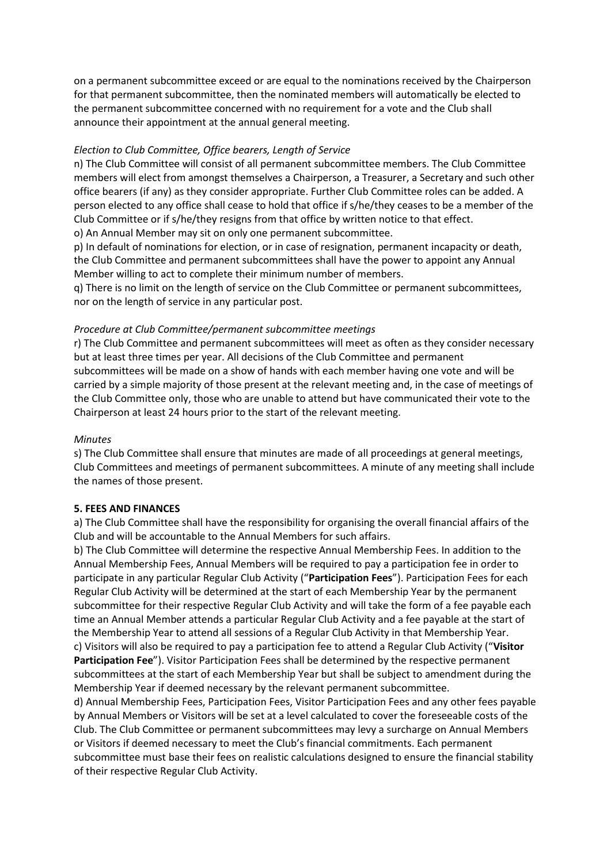on a permanent subcommittee exceed or are equal to the nominations received by the Chairperson for that permanent subcommittee, then the nominated members will automatically be elected to the permanent subcommittee concerned with no requirement for a vote and the Club shall announce their appointment at the annual general meeting.

#### *Election to Club Committee, Office bearers, Length of Service*

n) The Club Committee will consist of all permanent subcommittee members. The Club Committee members will elect from amongst themselves a Chairperson, a Treasurer, a Secretary and such other office bearers (if any) as they consider appropriate. Further Club Committee roles can be added. A person elected to any office shall cease to hold that office if s/he/they ceases to be a member of the Club Committee or if s/he/they resigns from that office by written notice to that effect. o) An Annual Member may sit on only one permanent subcommittee.

p) In default of nominations for election, or in case of resignation, permanent incapacity or death, the Club Committee and permanent subcommittees shall have the power to appoint any Annual Member willing to act to complete their minimum number of members.

q) There is no limit on the length of service on the Club Committee or permanent subcommittees, nor on the length of service in any particular post.

#### *Procedure at Club Committee/permanent subcommittee meetings*

r) The Club Committee and permanent subcommittees will meet as often as they consider necessary but at least three times per year. All decisions of the Club Committee and permanent subcommittees will be made on a show of hands with each member having one vote and will be carried by a simple majority of those present at the relevant meeting and, in the case of meetings of the Club Committee only, those who are unable to attend but have communicated their vote to the Chairperson at least 24 hours prior to the start of the relevant meeting.

#### *Minutes*

s) The Club Committee shall ensure that minutes are made of all proceedings at general meetings, Club Committees and meetings of permanent subcommittees. A minute of any meeting shall include the names of those present.

#### **5. FEES AND FINANCES**

a) The Club Committee shall have the responsibility for organising the overall financial affairs of the Club and will be accountable to the Annual Members for such affairs.

b) The Club Committee will determine the respective Annual Membership Fees. In addition to the Annual Membership Fees, Annual Members will be required to pay a participation fee in order to participate in any particular Regular Club Activity ("**Participation Fees**"). Participation Fees for each Regular Club Activity will be determined at the start of each Membership Year by the permanent subcommittee for their respective Regular Club Activity and will take the form of a fee payable each time an Annual Member attends a particular Regular Club Activity and a fee payable at the start of the Membership Year to attend all sessions of a Regular Club Activity in that Membership Year. c) Visitors will also be required to pay a participation fee to attend a Regular Club Activity ("**Visitor Participation Fee**"). Visitor Participation Fees shall be determined by the respective permanent subcommittees at the start of each Membership Year but shall be subject to amendment during the Membership Year if deemed necessary by the relevant permanent subcommittee.

d) Annual Membership Fees, Participation Fees, Visitor Participation Fees and any other fees payable by Annual Members or Visitors will be set at a level calculated to cover the foreseeable costs of the Club. The Club Committee or permanent subcommittees may levy a surcharge on Annual Members or Visitors if deemed necessary to meet the Club's financial commitments. Each permanent subcommittee must base their fees on realistic calculations designed to ensure the financial stability of their respective Regular Club Activity.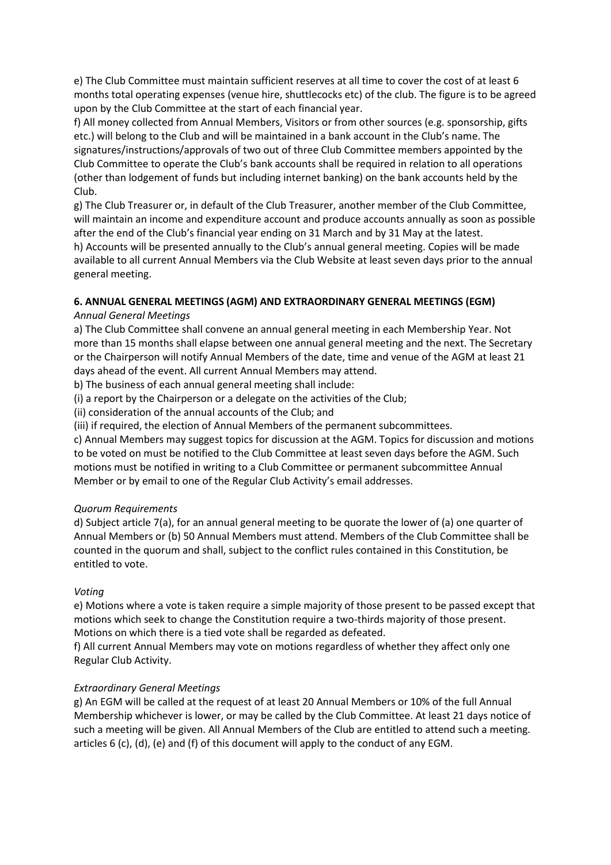e) The Club Committee must maintain sufficient reserves at all time to cover the cost of at least 6 months total operating expenses (venue hire, shuttlecocks etc) of the club. The figure is to be agreed upon by the Club Committee at the start of each financial year.

f) All money collected from Annual Members, Visitors or from other sources (e.g. sponsorship, gifts etc.) will belong to the Club and will be maintained in a bank account in the Club's name. The signatures/instructions/approvals of two out of three Club Committee members appointed by the Club Committee to operate the Club's bank accounts shall be required in relation to all operations (other than lodgement of funds but including internet banking) on the bank accounts held by the Club.

g) The Club Treasurer or, in default of the Club Treasurer, another member of the Club Committee, will maintain an income and expenditure account and produce accounts annually as soon as possible after the end of the Club's financial year ending on 31 March and by 31 May at the latest. h) Accounts will be presented annually to the Club's annual general meeting. Copies will be made available to all current Annual Members via the Club Website at least seven days prior to the annual general meeting.

## **6. ANNUAL GENERAL MEETINGS (AGM) AND EXTRAORDINARY GENERAL MEETINGS (EGM)**

## *Annual General Meetings*

a) The Club Committee shall convene an annual general meeting in each Membership Year. Not more than 15 months shall elapse between one annual general meeting and the next. The Secretary or the Chairperson will notify Annual Members of the date, time and venue of the AGM at least 21 days ahead of the event. All current Annual Members may attend.

b) The business of each annual general meeting shall include:

(i) a report by the Chairperson or a delegate on the activities of the Club;

(ii) consideration of the annual accounts of the Club; and

(iii) if required, the election of Annual Members of the permanent subcommittees.

c) Annual Members may suggest topics for discussion at the AGM. Topics for discussion and motions to be voted on must be notified to the Club Committee at least seven days before the AGM. Such motions must be notified in writing to a Club Committee or permanent subcommittee Annual Member or by email to one of the Regular Club Activity's email addresses.

## *Quorum Requirements*

d) Subject article 7(a), for an annual general meeting to be quorate the lower of (a) one quarter of Annual Members or (b) 50 Annual Members must attend. Members of the Club Committee shall be counted in the quorum and shall, subject to the conflict rules contained in this Constitution, be entitled to vote.

## *Voting*

e) Motions where a vote is taken require a simple majority of those present to be passed except that motions which seek to change the Constitution require a two-thirds majority of those present. Motions on which there is a tied vote shall be regarded as defeated.

f) All current Annual Members may vote on motions regardless of whether they affect only one Regular Club Activity.

# *Extraordinary General Meetings*

g) An EGM will be called at the request of at least 20 Annual Members or 10% of the full Annual Membership whichever is lower, or may be called by the Club Committee. At least 21 days notice of such a meeting will be given. All Annual Members of the Club are entitled to attend such a meeting. articles 6 (c), (d), (e) and (f) of this document will apply to the conduct of any EGM.